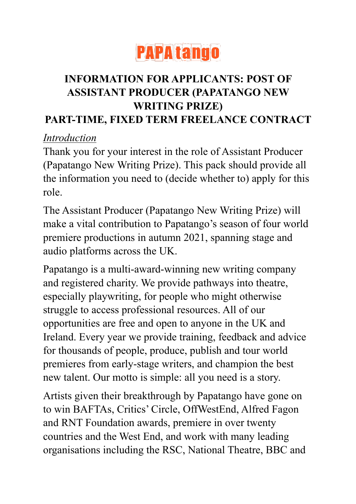

# **INFORMATION FOR APPLICANTS: POST OF ASSISTANT PRODUCER (PAPATANGO NEW WRITING PRIZE)**

#### **PART-TIME, FIXED TERM FREELANCE CONTRACT**

### *Introduction*

Thank you for your interest in the role of Assistant Producer (Papatango New Writing Prize). This pack should provide all the information you need to (decide whether to) apply for this role.

The Assistant Producer (Papatango New Writing Prize) will make a vital contribution to Papatango's season of four world premiere productions in autumn 2021, spanning stage and audio platforms across the UK.

Papatango is a multi-award-winning new writing company and registered charity. We provide pathways into theatre, especially playwriting, for people who might otherwise struggle to access professional resources. All of our opportunities are free and open to anyone in the UK and Ireland. Every year we provide training, feedback and advice for thousands of people, produce, publish and tour world premieres from early-stage writers, and champion the best new talent. Our motto is simple: all you need is a story.

Artists given their breakthrough by Papatango have gone on to win BAFTAs, Critics' Circle, OffWestEnd, Alfred Fagon and RNT Foundation awards, premiere in over twenty countries and the West End, and work with many leading organisations including the RSC, National Theatre, BBC and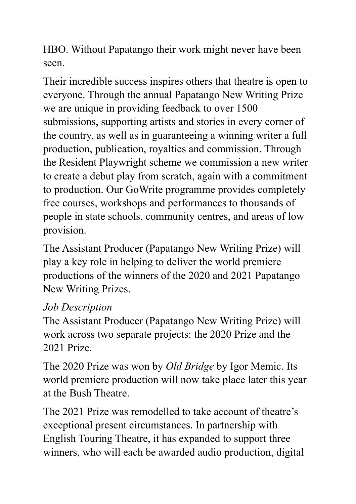HBO. Without Papatango their work might never have been seen.

Their incredible success inspires others that theatre is open to everyone. Through the annual Papatango New Writing Prize we are unique in providing feedback to over 1500 submissions, supporting artists and stories in every corner of the country, as well as in guaranteeing a winning writer a full production, publication, royalties and commission. Through the Resident Playwright scheme we commission a new writer to create a debut play from scratch, again with a commitment to production. Our GoWrite programme provides completely free courses, workshops and performances to thousands of people in state schools, community centres, and areas of low provision.

The Assistant Producer (Papatango New Writing Prize) will play a key role in helping to deliver the world premiere productions of the winners of the 2020 and 2021 Papatango New Writing Prizes.

### *Job Description*

The Assistant Producer (Papatango New Writing Prize) will work across two separate projects: the 2020 Prize and the 2021 Prize.

The 2020 Prize was won by *Old Bridge* by Igor Memic. Its world premiere production will now take place later this year at the Bush Theatre.

The 2021 Prize was remodelled to take account of theatre's exceptional present circumstances. In partnership with English Touring Theatre, it has expanded to support three winners, who will each be awarded audio production, digital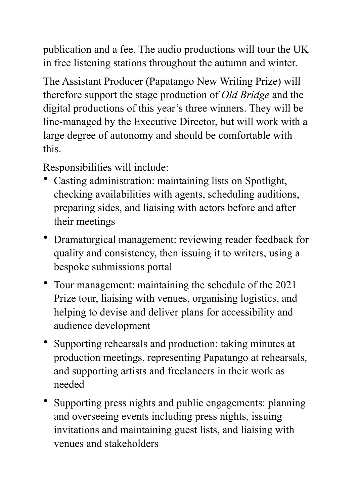publication and a fee. The audio productions will tour the UK in free listening stations throughout the autumn and winter.

The Assistant Producer (Papatango New Writing Prize) will therefore support the stage production of *Old Bridge* and the digital productions of this year's three winners. They will be line-managed by the Executive Director, but will work with a large degree of autonomy and should be comfortable with this.

Responsibilities will include:

- Casting administration: maintaining lists on Spotlight, checking availabilities with agents, scheduling auditions, preparing sides, and liaising with actors before and after their meetings
- Dramaturgical management: reviewing reader feedback for quality and consistency, then issuing it to writers, using a bespoke submissions portal
- Tour management: maintaining the schedule of the 2021 Prize tour, liaising with venues, organising logistics, and helping to devise and deliver plans for accessibility and audience development
- Supporting rehearsals and production: taking minutes at production meetings, representing Papatango at rehearsals, and supporting artists and freelancers in their work as needed
- Supporting press nights and public engagements: planning and overseeing events including press nights, issuing invitations and maintaining guest lists, and liaising with venues and stakeholders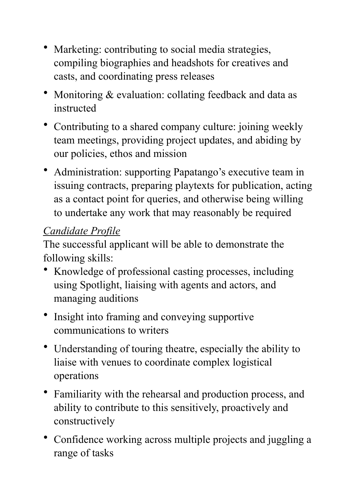- Marketing: contributing to social media strategies, compiling biographies and headshots for creatives and casts, and coordinating press releases
- Monitoring & evaluation: collating feedback and data as instructed
- Contributing to a shared company culture: joining weekly team meetings, providing project updates, and abiding by our policies, ethos and mission
- Administration: supporting Papatango's executive team in issuing contracts, preparing playtexts for publication, acting as a contact point for queries, and otherwise being willing to undertake any work that may reasonably be required

# *Candidate Profile*

The successful applicant will be able to demonstrate the following skills:

- Knowledge of professional casting processes, including using Spotlight, liaising with agents and actors, and managing auditions
- Insight into framing and conveying supportive communications to writers
- Understanding of touring theatre, especially the ability to liaise with venues to coordinate complex logistical operations
- Familiarity with the rehearsal and production process, and ability to contribute to this sensitively, proactively and constructively
- Confidence working across multiple projects and juggling a range of tasks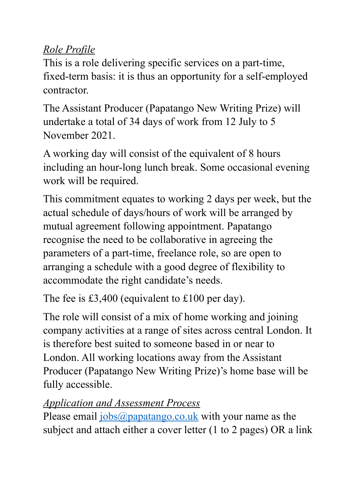### *Role Profile*

This is a role delivering specific services on a part-time, fixed-term basis: it is thus an opportunity for a self-employed contractor.

The Assistant Producer (Papatango New Writing Prize) will undertake a total of 34 days of work from 12 July to 5 November 2021.

A working day will consist of the equivalent of 8 hours including an hour-long lunch break. Some occasional evening work will be required.

This commitment equates to working 2 days per week, but the actual schedule of days/hours of work will be arranged by mutual agreement following appointment. Papatango recognise the need to be collaborative in agreeing the parameters of a part-time, freelance role, so are open to arranging a schedule with a good degree of flexibility to accommodate the right candidate's needs.

The fee is £3,400 (equivalent to £100 per day).

The role will consist of a mix of home working and joining company activities at a range of sites across central London. It is therefore best suited to someone based in or near to London. All working locations away from the Assistant Producer (Papatango New Writing Prize)'s home base will be fully accessible.

## *Application and Assessment Process*

Please email [jobs@papatango.co.uk](mailto:jobs@papatango.co.uk) with your name as the subject and attach either a cover letter (1 to 2 pages) OR a link